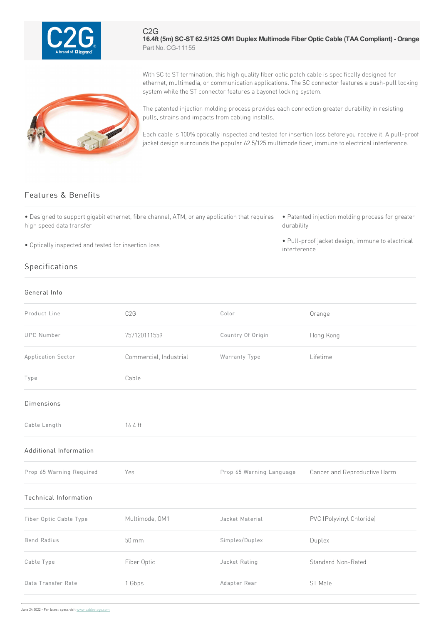

C2G **16.4ft (5m) SC-ST 62.5/125 OM1 Duplex Multimode Fiber Optic Cable (TAACompliant) - Orange** Part No. CG-11155

With SC to ST termination, this high quality fiber optic patch cable is specifically designed for ethernet, multimedia, or communication applications. The SC connector features a push-pull locking system while the ST connector features a bayonet locking system.

The patented injection molding process provides each connection greater durability in resisting pulls, strains and impacts from cabling installs.

> Each cable is 100% optically inspected and tested for insertion loss before you receive it. A pull-proof jacket design surrounds the popular 62.5/125 multimode fiber, immune to electrical interference.

## Features & Benefits

• Designed to support gigabit ethernet, fibre channel, ATM, or any application that requires high speed data transfer

• Optically inspected and tested for insertion loss

## Specifications

## General Info

- Patented injection molding process for greater durability
- Pull-proof jacket design, immune to electrical interference

| Product Line                 | C <sub>2</sub> G       | Color                    | Orange                       |
|------------------------------|------------------------|--------------------------|------------------------------|
| <b>UPC Number</b>            | 757120111559           | Country Of Origin        | Hong Kong                    |
| Application Sector           | Commercial, Industrial | Warranty Type            | Lifetime                     |
| Type                         | Cable                  |                          |                              |
| Dimensions                   |                        |                          |                              |
| Cable Length                 | 16.4 ft                |                          |                              |
| Additional Information       |                        |                          |                              |
| Prop 65 Warning Required     | Yes                    | Prop 65 Warning Language | Cancer and Reproductive Harm |
| <b>Technical Information</b> |                        |                          |                              |
| Fiber Optic Cable Type       | Multimode, OM1         | Jacket Material          | PVC (Polyvinyl Chloride)     |
| <b>Bend Radius</b>           | 50 mm                  | Simplex/Duplex           | Duplex                       |
| Cable Type                   | Fiber Optic            | Jacket Rating            | Standard Non-Rated           |
| Data Transfer Rate           | 1 Gbps                 | Adapter Rear             | ST Male                      |

June 24 2022 - For latest specs visit www.cablestogo.com